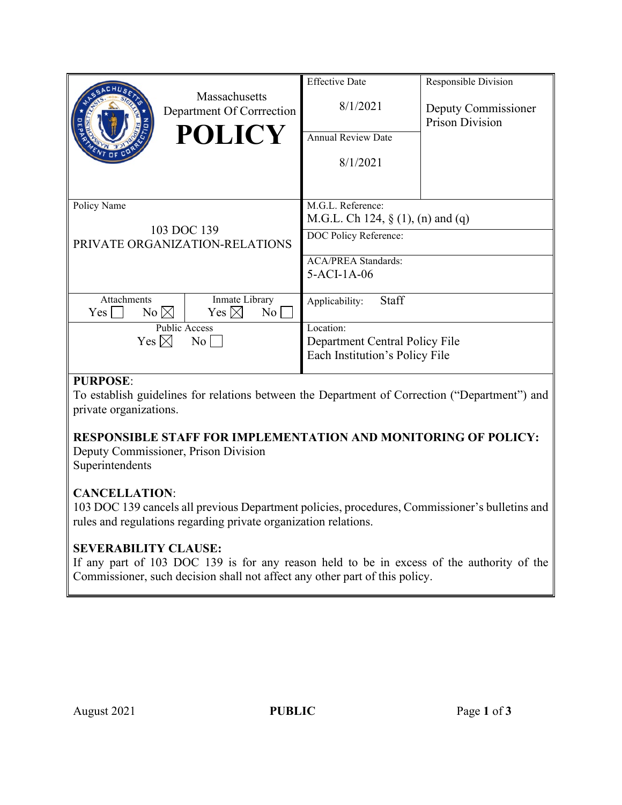| Massachusetts<br>Department Of Corrrection<br><b>POLICY</b>                                                                               | <b>Effective Date</b><br>8/1/2021<br><b>Annual Review Date</b><br>8/1/2021                                                      | Responsible Division<br>Deputy Commissioner<br><b>Prison Division</b> |
|-------------------------------------------------------------------------------------------------------------------------------------------|---------------------------------------------------------------------------------------------------------------------------------|-----------------------------------------------------------------------|
| Policy Name<br>103 DOC 139<br>PRIVATE ORGANIZATION-RELATIONS                                                                              | M.G.L. Reference:<br>M.G.L. Ch 124, $\S$ (1), (n) and (q)<br>DOC Policy Reference:<br><b>ACA/PREA Standards:</b><br>5-ACI-1A-06 |                                                                       |
| Attachments<br>Inmate Library<br>$No \bowtie$<br>Yes $\boxtimes$<br>Yes  <br>No  <br><b>Public Access</b><br>Yes $\boxtimes$<br>$\rm{No}$ | Staff<br>Applicability:<br>Location:<br>Department Central Policy File<br>Each Institution's Policy File                        |                                                                       |

## **PURPOSE**:

To establish guidelines for relations between the Department of Correction ("Department") and private organizations.

## **RESPONSIBLE STAFF FOR IMPLEMENTATION AND MONITORING OF POLICY:**

Deputy Commissioner, Prison Division Superintendents

#### **CANCELLATION**:

103 DOC 139 cancels all previous Department policies, procedures, Commissioner's bulletins and rules and regulations regarding private organization relations.

## **SEVERABILITY CLAUSE:**

If any part of 103 DOC 139 is for any reason held to be in excess of the authority of the Commissioner, such decision shall not affect any other part of this policy.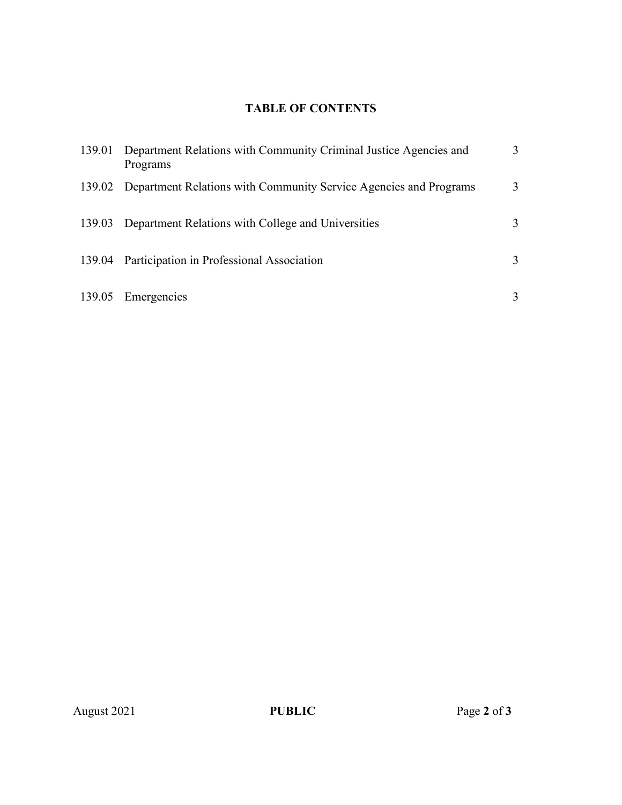# **TABLE OF CONTENTS**

| 139.01 Department Relations with Community Criminal Justice Agencies and<br>Programs | 3 |
|--------------------------------------------------------------------------------------|---|
| 139.02 Department Relations with Community Service Agencies and Programs             | 3 |
| 139.03 Department Relations with College and Universities                            | 3 |
| 139.04 Participation in Professional Association                                     | 3 |
| 139.05 Emergencies                                                                   | 3 |